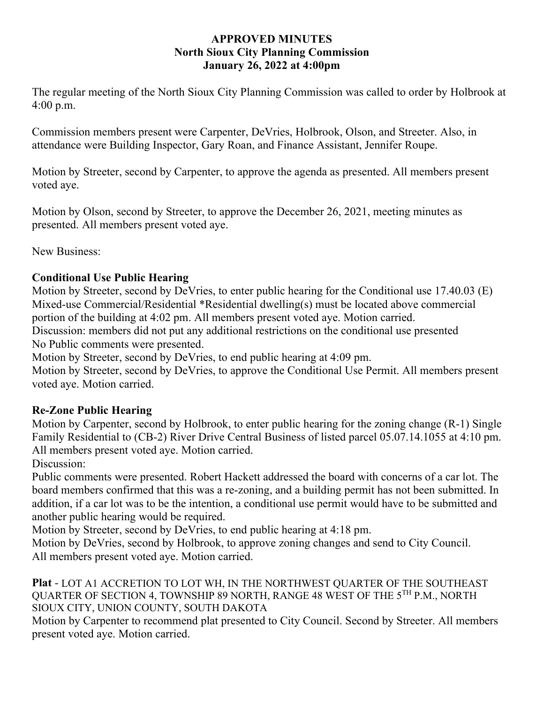## **APPROVED MINUTES North Sioux City Planning Commission January 26, 2022 at 4:00pm**

The regular meeting of the North Sioux City Planning Commission was called to order by Holbrook at 4:00 p.m.

Commission members present were Carpenter, DeVries, Holbrook, Olson, and Streeter. Also, in attendance were Building Inspector, Gary Roan, and Finance Assistant, Jennifer Roupe.

Motion by Streeter, second by Carpenter, to approve the agenda as presented. All members present voted aye.

Motion by Olson, second by Streeter, to approve the December 26, 2021, meeting minutes as presented. All members present voted aye.

New Business:

## **Conditional Use Public Hearing**

Motion by Streeter, second by DeVries, to enter public hearing for the Conditional use 17.40.03 (E) Mixed-use Commercial/Residential \*Residential dwelling(s) must be located above commercial portion of the building at 4:02 pm. All members present voted aye. Motion carried.

Discussion: members did not put any additional restrictions on the conditional use presented No Public comments were presented.

Motion by Streeter, second by DeVries, to end public hearing at 4:09 pm.

Motion by Streeter, second by DeVries, to approve the Conditional Use Permit. All members present voted aye. Motion carried.

## **Re-Zone Public Hearing**

Motion by Carpenter, second by Holbrook, to enter public hearing for the zoning change (R-1) Single Family Residential to (CB-2) River Drive Central Business of listed parcel 05.07.14.1055 at 4:10 pm. All members present voted aye. Motion carried.

Discussion:

Public comments were presented. Robert Hackett addressed the board with concerns of a car lot. The board members confirmed that this was a re-zoning, and a building permit has not been submitted. In addition, if a car lot was to be the intention, a conditional use permit would have to be submitted and another public hearing would be required.

Motion by Streeter, second by DeVries, to end public hearing at 4:18 pm.

Motion by DeVries, second by Holbrook, to approve zoning changes and send to City Council. All members present voted aye. Motion carried.

**Plat** - LOT A1 ACCRETION TO LOT WH, IN THE NORTHWEST QUARTER OF THE SOUTHEAST QUARTER OF SECTION 4, TOWNSHIP 89 NORTH, RANGE 48 WEST OF THE 5TH P.M., NORTH SIOUX CITY, UNION COUNTY, SOUTH DAKOTA

Motion by Carpenter to recommend plat presented to City Council. Second by Streeter. All members present voted aye. Motion carried.